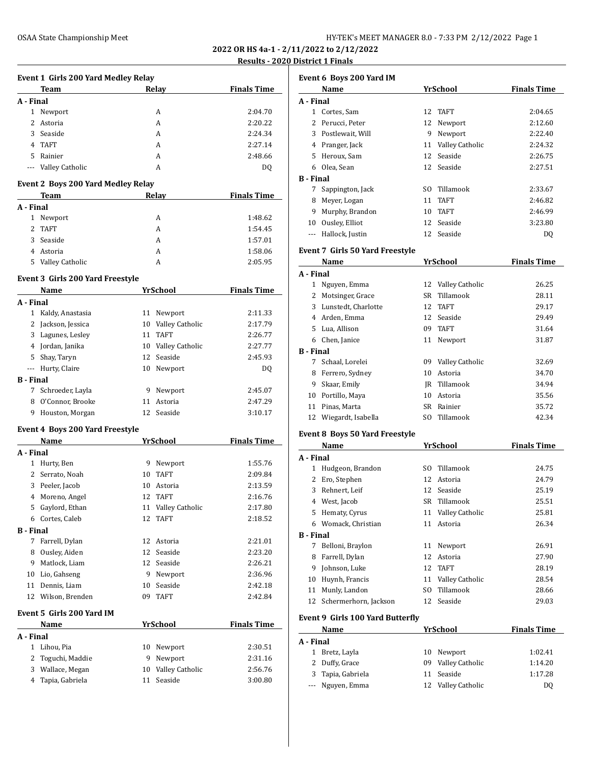**2022 OR HS 4a-1 - 2/11/2022 to 2/12/2022 <u>Results 1 Finals</u>** 

|                  |                                           |                        |                                  | Results - 2020 Dist           |
|------------------|-------------------------------------------|------------------------|----------------------------------|-------------------------------|
|                  | Event 1 Girls 200 Yard Medley Relay       |                        |                                  |                               |
|                  | Team                                      | <b>Example 2</b> Relay |                                  | <b>Finals Time</b>            |
| A - Final        |                                           |                        |                                  |                               |
|                  | 1 Newport                                 |                        | A                                | 2:04.70                       |
|                  | 2 Astoria                                 |                        | A                                | 2:20.22                       |
|                  | 3 Seaside                                 |                        | A                                | 2:24.34                       |
|                  | 4 TAFT                                    |                        | A                                | 2:27.14                       |
| 5                | Rainier                                   |                        | A                                | 2:48.66                       |
| $\cdots$         | Valley Catholic                           |                        | A                                | DQ                            |
|                  | <b>Event 2 Boys 200 Yard Medley Relay</b> |                        |                                  |                               |
|                  | Team                                      |                        | Relay                            | <b>Finals Time</b>            |
| A - Final        |                                           |                        |                                  |                               |
|                  | 1 Newport<br>2 TAFT                       |                        | A                                | 1:48.62                       |
|                  |                                           |                        | A                                | 1:54.45                       |
|                  | 3 Seaside                                 |                        | A                                | 1:57.01                       |
|                  | 4 Astoria                                 |                        | A                                | 1:58.06                       |
|                  | 5 Valley Catholic                         |                        | A                                | 2:05.95                       |
|                  | Event 3 Girls 200 Yard Freestyle<br>Name  |                        | YrSchool                         | <b>Finals Time</b>            |
| A - Final        |                                           |                        |                                  |                               |
|                  | 1 Kaldy, Anastasia                        |                        | 11 Newport                       | 2:11.33                       |
|                  | 2 Jackson, Jessica                        |                        | 10 Valley Catholic               | 2:17.79                       |
|                  | 3 Lagunes, Lesley                         |                        | 11 TAFT                          | 2:26.77                       |
|                  |                                           |                        |                                  |                               |
|                  | 4 Jordan, Janika                          |                        | 10 Valley Catholic               | 2:27.77                       |
|                  | 5 Shay, Taryn                             |                        | 12 Seaside                       | 2:45.93                       |
|                  | --- Hurty, Claire                         |                        | 10 Newport                       | DQ                            |
| <b>B</b> - Final |                                           |                        |                                  |                               |
|                  | 7 Schroeder, Layla                        |                        | 9 Newport                        | 2:45.07                       |
|                  | 8 O'Connor, Brooke                        |                        | 11 Astoria                       | 2:47.29                       |
|                  | 9 Houston, Morgan                         |                        | 12 Seaside                       | 3:10.17                       |
|                  | Event 4 Boys 200 Yard Freestyle           |                        |                                  |                               |
| A - Final        | Name                                      |                        | YrSchool                         | <b>Finals Time</b>            |
|                  | 1 Hurty, Ben                              |                        | 9 Newport                        | 1:55.76                       |
|                  | Serrato, Noah                             |                        |                                  |                               |
| 2                | 3 Peeler, Jacob                           | 10                     | 10 TAFT<br>Astoria               | 2:09.84<br>2:13.59            |
|                  |                                           | 12                     |                                  |                               |
|                  | 4 Moreno, Angel                           |                        | <b>TAFT</b>                      | 2:16.76                       |
|                  | 5 Gaylord, Ethan                          |                        | 11 Valley Catholic               | 2:17.80                       |
|                  | 6 Cortes, Caleb                           | 12                     | <b>TAFT</b>                      | 2:18.52                       |
|                  |                                           |                        |                                  |                               |
|                  |                                           |                        | 12 Astoria                       | 2:21.01                       |
|                  | 7 Farrell, Dylan                          |                        |                                  | 2:23.20                       |
|                  | 8 Ousley, Aiden                           |                        | 12 Seaside                       |                               |
|                  | 9 Matlock, Liam                           |                        | 12 Seaside                       | 2:26.21                       |
| <b>B</b> - Final | 10 Lio, Gahseng                           |                        | 9 Newport                        | 2:36.96                       |
|                  | 11 Dennis, Liam                           |                        | 10 Seaside                       | 2:42.18                       |
|                  | 12 Wilson, Brenden                        |                        | 09 TAFT                          | 2:42.84                       |
|                  | Event 5 Girls 200 Yard IM                 |                        |                                  |                               |
|                  | Name                                      |                        | YrSchool                         |                               |
| A - Final        |                                           |                        |                                  |                               |
| 1                | Lihou, Pia                                |                        | 10 Newport                       | <b>Finals Time</b><br>2:30.51 |
| 2                | Toguchi, Maddie                           |                        | 9 Newport                        | 2:31.16                       |
|                  | 3 Wallace, Megan<br>4 Tapia, Gabriela     |                        | 10 Valley Catholic<br>11 Seaside | 2:56.76<br>3:00.80            |

|              | Event 6 Boys 200 Yard IM                |     |                    |                    |
|--------------|-----------------------------------------|-----|--------------------|--------------------|
|              | Name                                    |     | <b>YrSchool</b>    | <b>Finals Time</b> |
| A - Final    |                                         |     |                    |                    |
| $\mathbf{1}$ | Cortes, Sam                             | 12  | TAFT               | 2:04.65            |
| 2            | Perucci, Peter                          | 12  | Newport            | 2:12.60            |
| 3            | Postlewait, Will                        | 9   | Newport            | 2:22.40            |
|              | 4 Pranger, Jack                         | 11  | Valley Catholic    | 2:24.32            |
| 5            | Heroux, Sam                             | 12  | Seaside            | 2:26.75            |
| 6            | Olea, Sean                              | 12  | Seaside            | 2:27.51            |
| B - Final    |                                         |     |                    |                    |
| 7            | Sappington, Jack                        |     | SO Tillamook       | 2:33.67            |
| 8            | Meyer, Logan                            | 11  | <b>TAFT</b>        | 2:46.82            |
| 9            | Murphy, Brandon                         | 10  | <b>TAFT</b>        | 2:46.99            |
|              | 10 Ousley, Elliot                       | 12  | Seaside            | 3:23.80            |
|              | --- Hallock, Justin                     |     | 12 Seaside         | DQ                 |
|              | Event 7  Girls 50 Yard Freestyle        |     |                    |                    |
|              | Name                                    |     | <b>YrSchool</b>    | <b>Finals Time</b> |
| A - Final    |                                         |     |                    |                    |
| 1            | Nguyen, Emma                            | 12  | Valley Catholic    | 26.25              |
| 2            |                                         | SR  | Tillamook          | 28.11              |
| 3            | Motsinger, Grace<br>Lunstedt, Charlotte | 12  | <b>TAFT</b>        | 29.17              |
| 4            | Arden, Emma                             | 12  | Seaside            | 29.49              |
| 5            | Lua, Allison                            | 09  | <b>TAFT</b>        | 31.64              |
|              | 6 Chen, Janice                          | 11  |                    | 31.87              |
| B - Final    |                                         |     | Newport            |                    |
| 7            | Schaal, Lorelei                         |     | 09 Valley Catholic | 32.69              |
|              |                                         | 10  | Astoria            |                    |
| 8<br>9       | Ferrero, Sydney<br>Skaar, Emily         |     | JR Tillamook       | 34.70<br>34.94     |
|              |                                         |     |                    |                    |
| 10           | Portillo, Maya                          | 10  | Astoria            | 35.56              |
| 11           | Pinas, Marta                            | SR  | Rainier            | 35.72              |
| 12           | Wiegardt, Isabella                      | SO. | Tillamook          | 42.34              |
|              | Event 8  Boys 50 Yard Freestyle         |     |                    |                    |
|              | Name                                    |     | YrSchool           | <b>Finals Time</b> |
| A - Final    |                                         |     |                    |                    |
| 1            | Hudgeon, Brandon                        | SO. | Tillamook          | 24.75              |
| 2            | Ero, Stephen                            | 12  | Astoria            | 24.79              |
| 3            | Rehnert, Leif                           | 12  | Seaside            | 25.19              |
| 4            | West, Jacob                             | SR  | Tillamook          | 25.51              |
| 5            | Hematy, Cyrus                           | 11  | Valley Catholic    | 25.81              |
| 6            | Womack, Christian                       | 11  | Astoria            | 26.34              |
| B - Final    |                                         |     |                    |                    |
| 7            | Belloni, Braylon                        | 11  | Newport            | 26.91              |
| 8            | Farrell, Dylan                          | 12  | Astoria            | 27.90              |
| 9            | Johnson, Luke                           | 12  | <b>TAFT</b>        | 28.19              |
| 10           | Huynh, Francis                          | 11  | Valley Catholic    | 28.54              |
| 11           | Munly, Landon                           | SO. | Tillamook          | 28.66              |
| 12           | Schermerhorn, Jackson                   | 12  | Seaside            | 29.03              |
|              | Event 9 Girls 100 Yard Butterfly        |     |                    |                    |
|              | <u>Name</u>                             |     | <u>YrSchool</u>    | <b>Finals Time</b> |
| A - Final    |                                         |     |                    |                    |
| $\mathbf{1}$ | Bretz, Layla                            | 10  | Newport            | 1:02.41            |
| 2            | Duffy, Grace                            | 09  | Valley Catholic    | 1:14.20            |
| 3            | Tapia, Gabriela                         | 11  | Seaside            | 1:17.28            |
| ---          | Nguyen, Emma                            | 12  | Valley Catholic    | DQ                 |
|              |                                         |     |                    |                    |
|              |                                         |     |                    |                    |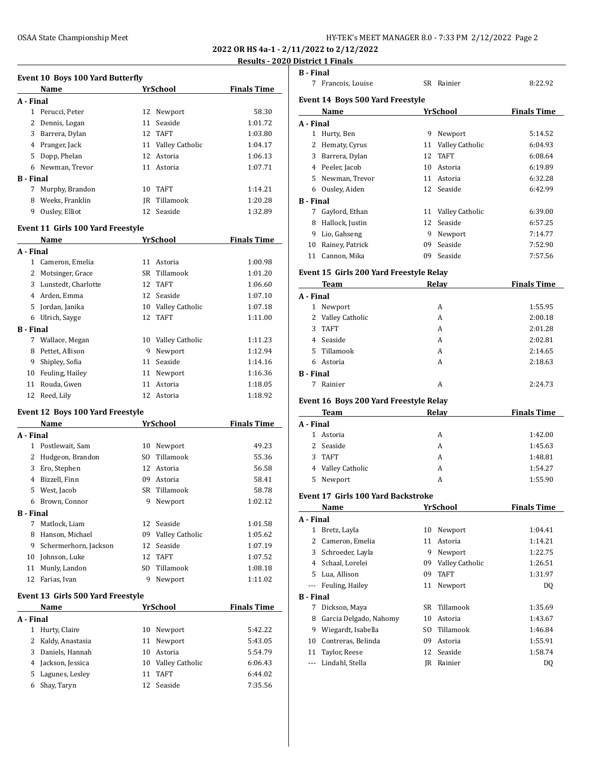**2022 OR HS 4a-1 - 2/11/2022 to 2/12/2022**

# **Properties 1 Final**

|                  |                                           |     |                    | <u> Results - 2020</u> |
|------------------|-------------------------------------------|-----|--------------------|------------------------|
|                  | <b>Event 10 Boys 100 Yard Butterfly</b>   |     |                    |                        |
|                  | Name                                      |     | YrSchool           | <b>Finals Time</b>     |
| A - Final        |                                           |     |                    |                        |
|                  | 1 Perucci, Peter                          |     | 12 Newport         | 58.30                  |
|                  | 2 Dennis, Logan                           | 11  | Seaside            | 1:01.72                |
|                  | 3 Barrera, Dylan                          | 12  | <b>TAFT</b>        | 1:03.80                |
|                  | 4 Pranger, Jack                           |     | 11 Valley Catholic | 1:04.17                |
|                  | 5 Dopp, Phelan                            | 12  | Astoria            | 1:06.13                |
|                  | 6 Newman, Trevor                          |     | 11 Astoria         | 1:07.71                |
| <b>B</b> - Final |                                           |     |                    |                        |
|                  | 7 Murphy, Brandon                         | 10  | TAFT               | 1:14.21                |
|                  | 8 Weeks, Franklin                         | JR  | Tillamook          | 1:20.28                |
|                  | 9 Ousley, Elliot                          | 12  | Seaside            | 1:32.89                |
|                  | Event 11 Girls 100 Yard Freestyle         |     |                    |                        |
|                  | Name                                      |     | YrSchool           | <b>Finals Time</b>     |
| A - Final        |                                           |     |                    |                        |
|                  | 1 Cameron, Emelia                         |     | 11 Astoria         | 1:00.98                |
|                  | 2 Motsinger, Grace                        | SR  | Tillamook          | 1:01.20                |
|                  | 3 Lunstedt, Charlotte                     | 12  | <b>TAFT</b>        | 1:06.60                |
|                  | 4 Arden, Emma                             |     | 12 Seaside         | 1:07.10                |
|                  | 5 Jordan, Janika                          |     | 10 Valley Catholic | 1:07.18                |
|                  | 6 Ulrich, Sayge                           | 12  | TAFT               | 1:11.00                |
| <b>B</b> - Final |                                           |     |                    |                        |
|                  | 7 Wallace, Megan                          |     | 10 Valley Catholic | 1:11.23                |
|                  | 8 Pettet, Allison                         | 9   | Newport            | 1:12.94                |
|                  | 9 Shipley, Sofia                          |     | 11 Seaside         | 1:14.16                |
|                  | 10 Feuling, Hailey                        |     | 11 Newport         | 1:16.36                |
| 11               | Rouda, Gwen                               | 11  | Astoria            | 1:18.05                |
| 12               | Reed, Lily                                |     | 12 Astoria         | 1:18.92                |
|                  | Event 12 Boys 100 Yard Freestyle          |     |                    |                        |
|                  | Name                                      |     | YrSchool           | <b>Finals Time</b>     |
| A - Final        |                                           |     |                    |                        |
|                  | 1 Postlewait, Sam                         |     | 10 Newport         | 49.23                  |
|                  | 2 Hudgeon, Brandon                        | SO. | Tillamook          | 55.36                  |
|                  | 3 Ero, Stephen                            | 12  | Astoria            | 56.58                  |
|                  | 4 Bizzell, Finn                           | 09  | Astoria            | 58.41                  |
|                  | 5 West, Jacob                             |     | SR Tillamook       | 58.78                  |
|                  | 6 Brown, Connor                           | 9.  | Newport            | 1:02.12                |
| <b>B</b> - Final |                                           |     |                    |                        |
| 7                | Matlock, Liam                             | 12  | Seaside            | 1:01.58                |
| 8                | Hanson, Michael                           | 09  | Valley Catholic    | 1:05.62                |
|                  | 9 Schermerhorn, Jackson                   | 12  | Seaside            | 1:07.19                |
|                  | 10 Johnson, Luke                          | 12  | <b>TAFT</b>        | 1:07.52                |
| 11               | Munly, Landon                             | SO. | Tillamook          | 1:08.18                |
| 12               | Farias, Ivan                              | 9   | Newport            | 1:11.02                |
|                  |                                           |     |                    |                        |
|                  | Event 13 Girls 500 Yard Freestyle<br>Name |     | <b>YrSchool</b>    | <b>Finals Time</b>     |
| A - Final        |                                           |     |                    |                        |
|                  | 1 Hurty, Claire                           |     | 10 Newport         | 5:42.22                |
|                  | 2 Kaldy, Anastasia                        | 11  | Newport            | 5:43.05                |
|                  | 3 Daniels, Hannah                         | 10  | Astoria            | 5:54.79                |
|                  | 4 Jackson, Jessica                        | 10  | Valley Catholic    | 6:06.43                |
|                  |                                           |     |                    |                        |

 Lagunes, Lesley 11 TAFT 6:44.02 Shay, Taryn 12 Seaside 7:35.56

| <b>B</b> - Final<br>7 | Francois, Louise                                |                 | SR Rainier             | 8:22.92            |
|-----------------------|-------------------------------------------------|-----------------|------------------------|--------------------|
|                       | <b>Event 14 Boys 500 Yard Freestyle</b>         |                 |                        |                    |
|                       | Name                                            |                 | <b>YrSchool</b>        | <b>Finals Time</b> |
| A - Final             |                                                 |                 |                        |                    |
| 2                     | 1 Hurty, Ben                                    | 9               | Newport                | 5:14.52            |
|                       | Hematy, Cyrus                                   |                 | 11 Valley Catholic     | 6:04.93            |
|                       | 3 Barrera, Dylan                                | 12              | <b>TAFT</b><br>Astoria | 6:08.64            |
|                       | 4 Peeler, Jacob                                 | 10              |                        | 6:19.89            |
|                       | 5 Newman, Trevor                                | 11              | Astoria                | 6:32.28            |
|                       | 6 Ousley, Aiden                                 | 12              | Seaside                | 6:42.99            |
| <b>B</b> - Final<br>7 |                                                 |                 |                        |                    |
|                       | Gaylord, Ethan                                  | 11              | Valley Catholic        | 6:39.00            |
|                       | 8 Hallock, Justin                               | 12              | Seaside                | 6:57.25            |
|                       | 9 Lio, Gahseng                                  |                 | 9 Newport              | 7:14.77            |
|                       | 10 Rainey, Patrick                              |                 | 09 Seaside             | 7:52.90            |
| 11                    | Cannon, Mika                                    | 09              | Seaside                | 7:57.56            |
|                       | Event 15 Girls 200 Yard Freestyle Relay<br>Team |                 | Relay                  | <b>Finals Time</b> |
| A - Final             |                                                 |                 |                        |                    |
|                       | 1 Newport                                       |                 | A                      | 1:55.95            |
| 2                     | Valley Catholic                                 |                 | A                      | 2:00.18            |
| 3                     | <b>TAFT</b>                                     |                 | A                      | 2:01.28            |
|                       | 4 Seaside                                       |                 | A                      | 2:02.81            |
| 5.                    | Tillamook                                       |                 | A                      | 2:14.65            |
| 6                     | Astoria                                         |                 | A                      | 2:18.63            |
| <b>B</b> - Final      |                                                 |                 |                        |                    |
| 7                     | Rainier                                         |                 | A                      | 2:24.73            |
|                       | Event 16 Boys 200 Yard Freestyle Relay          |                 |                        |                    |
|                       | Team                                            |                 | Relay                  | <b>Finals Time</b> |
| A - Final             |                                                 |                 |                        |                    |
|                       | 1 Astoria                                       |                 | A                      | 1:42.00            |
| 2                     | Seaside                                         |                 | A                      | 1:45.63            |
| 3                     | <b>TAFT</b>                                     |                 | A                      | 1:48.81            |
| 4                     | Valley Catholic                                 |                 | A                      | 1:54.27            |
| 5                     | Newport                                         |                 | A                      | 1:55.90            |
|                       | <b>Event 17 Girls 100 Yard Backstroke</b>       |                 |                        |                    |
|                       | Name                                            |                 | YrSchool               | <b>Finals Time</b> |
| A - Final             |                                                 |                 |                        |                    |
| 1                     | Bretz, Layla                                    | 10              | Newport                | 1:04.41            |
| 2                     | Cameron, Emelia                                 | 11              | Astoria                | 1:14.21            |
| 3                     | Schroeder, Layla                                | 9               | Newport                | 1:22.75            |
|                       | 4 Schaal, Lorelei                               |                 | 09 Valley Catholic     | 1:26.51            |
|                       | 5 Lua, Allison                                  | 09              | <b>TAFT</b>            | 1:31.97            |
|                       | --- Feuling, Hailey                             | 11              | Newport                | DQ                 |
|                       | <b>B</b> - Final                                |                 |                        |                    |
|                       | Dickson, Maya                                   | SR              | Tillamook              | 1:35.69            |
| 7                     | Garcia Delgado, Nahomy                          | 10 <sup>°</sup> | Astoria                | 1:43.67            |
| 8                     |                                                 |                 | SO Tillamook           | 1:46.84            |
| 9                     | Wiegardt, Isabella                              |                 |                        |                    |
| 10                    | Contreras, Belinda                              | 09              | Astoria                |                    |
| 11                    | Taylor, Reese                                   | 12              | Seaside                | 1:55.91<br>1:58.74 |